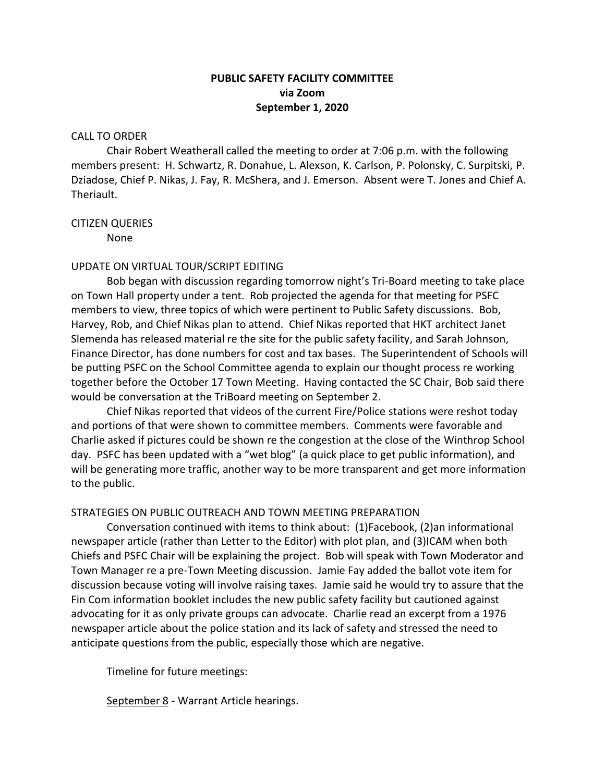# **PUBLIC SAFETY FACILITY COMMITTEE via Zoom September 1, 2020**

#### CALL TO ORDER

Chair Robert Weatherall called the meeting to order at 7:06 p.m. with the following members present: H. Schwartz, R. Donahue, L. Alexson, K. Carlson, P. Polonsky, C. Surpitski, P. Dziadose, Chief P. Nikas, J. Fay, R. McShera, and J. Emerson. Absent were T. Jones and Chief A. Theriault.

#### CITIZEN QUERIES

None

# UPDATE ON VIRTUAL TOUR/SCRIPT EDITING

Bob began with discussion regarding tomorrow night's Tri-Board meeting to take place on Town Hall property under a tent. Rob projected the agenda for that meeting for PSFC members to view, three topics of which were pertinent to Public Safety discussions. Bob, Harvey, Rob, and Chief Nikas plan to attend. Chief Nikas reported that HKT architect Janet Slemenda has released material re the site for the public safety facility, and Sarah Johnson, Finance Director, has done numbers for cost and tax bases. The Superintendent of Schools will be putting PSFC on the School Committee agenda to explain our thought process re working together before the October 17 Town Meeting. Having contacted the SC Chair, Bob said there would be conversation at the TriBoard meeting on September 2.

Chief Nikas reported that videos of the current Fire/Police stations were reshot today and portions of that were shown to committee members. Comments were favorable and Charlie asked if pictures could be shown re the congestion at the close of the Winthrop School day. PSFC has been updated with a "wet blog" (a quick place to get public information), and will be generating more traffic, another way to be more transparent and get more information to the public.

## STRATEGIES ON PUBLIC OUTREACH AND TOWN MEETING PREPARATION

Conversation continued with items to think about: (1)Facebook, (2)an informational newspaper article (rather than Letter to the Editor) with plot plan, and (3)ICAM when both Chiefs and PSFC Chair will be explaining the project. Bob will speak with Town Moderator and Town Manager re a pre-Town Meeting discussion. Jamie Fay added the ballot vote item for discussion because voting will involve raising taxes. Jamie said he would try to assure that the Fin Com information booklet includes the new public safety facility but cautioned against advocating for it as only private groups can advocate. Charlie read an excerpt from a 1976 newspaper article about the police station and its lack of safety and stressed the need to anticipate questions from the public, especially those which are negative.

Timeline for future meetings:

September 8 - Warrant Article hearings.